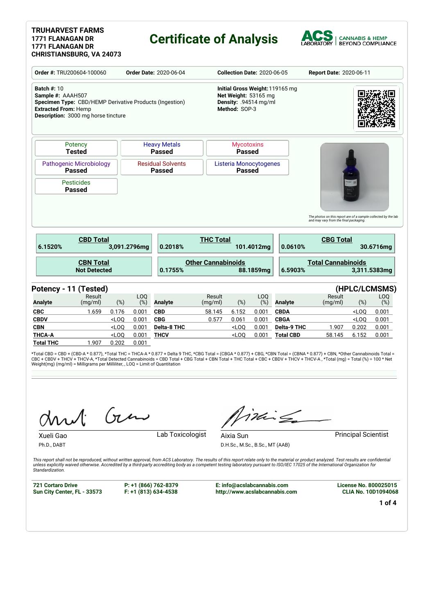#### **TRUHARVEST FARMS 1771 FLANAGAN DR 1771 FLANAGAN DR CHRISTIANSBURG, VA 24073**

### **Certificate of Analysis**



| Order #: TRU200604-100060<br><b>Order Date: 2020-06-04</b>                                     |                                                                                                |                  |                        | <b>Collection Date: 2020-06-05</b>                                                                |                           |                                         |                        | Report Date: 2020-06-11 |                                                                |                         |                |
|------------------------------------------------------------------------------------------------|------------------------------------------------------------------------------------------------|------------------|------------------------|---------------------------------------------------------------------------------------------------|---------------------------|-----------------------------------------|------------------------|-------------------------|----------------------------------------------------------------|-------------------------|----------------|
| <b>Batch #: 10</b><br>Sample #: AAAH507<br><b>Extracted From: Hemp</b>                         | Specimen Type: CBD/HEMP Derivative Products (Ingestion)<br>Description: 3000 mg horse tincture |                  |                        | Initial Gross Weight: 119165 mg<br>Net Weight: 53165 mg<br>Density: .94514 mg/ml<br>Method: SOP-3 |                           |                                         |                        |                         |                                                                |                         |                |
|                                                                                                | Potency<br><b>Tested</b>                                                                       |                  |                        | <b>Heavy Metals</b><br><b>Passed</b>                                                              |                           | <b>Mycotoxins</b><br><b>Passed</b>      |                        |                         |                                                                |                         |                |
|                                                                                                | <b>Pathogenic Microbiology</b><br><b>Passed</b>                                                |                  |                        | <b>Residual Solvents</b><br><b>Passed</b>                                                         |                           | Listeria Monocytogenes<br><b>Passed</b> |                        |                         |                                                                |                         |                |
| <b>Pesticides</b>                                                                              |                                                                                                |                  |                        |                                                                                                   |                           |                                         |                        |                         |                                                                |                         |                |
|                                                                                                | <b>Passed</b>                                                                                  |                  |                        |                                                                                                   |                           |                                         |                        |                         | The photos on this report are of a sample collected by the lab |                         |                |
|                                                                                                | <b>CBD Total</b>                                                                               |                  | 3,091.2796mg           | 0.2018%                                                                                           | <b>THC Total</b>          |                                         | 101.4012mg             | 0.0610%                 | and may vary from the final packaging.<br><b>CBG Total</b>     |                         | 30.6716mg      |
|                                                                                                | <b>CBN Total</b><br><b>Not Detected</b>                                                        |                  |                        | 0.1755%                                                                                           | <b>Other Cannabinoids</b> |                                         | 88.1859mg              | 6.5903%                 | <b>Total Cannabinoids</b>                                      |                         |                |
| 6.1520%                                                                                        |                                                                                                |                  |                        |                                                                                                   |                           |                                         |                        |                         |                                                                |                         | 3,311.5383mg   |
|                                                                                                | Potency - 11 (Tested)<br>Result<br>(mg/ml)                                                     | $(\%)$           | LO <sub>O</sub><br>(%) | <b>Analyte</b>                                                                                    | Result<br>(mg/ml)         | $(\%)$                                  | LO <sub>O</sub><br>(%) | <b>Analyte</b>          | Result<br>(mg/ml)                                              | (HPLC/LCMSMS)<br>$(\%)$ | LOQ<br>(%)     |
|                                                                                                | 1.659                                                                                          | 0.176            | 0.001                  | <b>CBD</b>                                                                                        | 58.145                    | 6.152                                   | 0.001                  | <b>CBDA</b>             |                                                                | $<$ LOQ                 | 0.001          |
|                                                                                                |                                                                                                | $<$ LOQ          | 0.001                  | <b>CBG</b>                                                                                        | 0.577                     | 0.061                                   | 0.001                  | <b>CBGA</b>             |                                                                | $<$ LOQ                 | 0.001          |
|                                                                                                |                                                                                                | $<$ LOO          | 0.001                  | Delta-8 THC                                                                                       |                           | $<$ LOO                                 | 0.001                  | <b>Delta-9 THC</b>      | 1.907                                                          | 0.202                   |                |
| <b>Analyte</b><br><b>CBC</b><br><b>CBDV</b><br><b>CBN</b><br><b>THCA-A</b><br><b>Total THC</b> | 1.907                                                                                          | $<$ LOQ<br>0.202 | 0.001<br>0.001         | <b>THCV</b>                                                                                       |                           | $<$ LOQ                                 | 0.001                  | <b>Total CBD</b>        | 58.145                                                         | 6.152                   | 0.001<br>0.001 |

\*Total CBD = CBD + (CBD-A \* 0.877), \*Total THC = THCA-A \* 0.877 + Delta 9 THC, \*CBG Total = (CBGA \* 0.877) + CBG, \*CBN Total = (CBNA \* 0.877) + CBN, \*Other Cannabinoids Total =<br>CBC + CBDV + THCV + THCV-A, \*Total Detected C

Gen

Ph.D., DABT

Xueli Gao **Lab Toxicologist** 

iding

D.H.Sc., M.Sc., B.Sc., MT (AAB)

Aixia Sun **Principal Scientist** 

This report shall not be reproduced, without written approval, from ACS Laboratory. The results of this report relate only to the material or product analyzed. Test results are confidential<br>unless explicitly waived otherwi *Standardization.*

**721 Cortaro Drive Sun City Center, FL - 33573** **P: +1 (866) 762-8379 F: +1 (813) 634-4538**

**E: info@acslabcannabis.com http://www.acslabcannabis.com** **License No. 800025015 CLIA No. 10D1094068**

**1 of 4**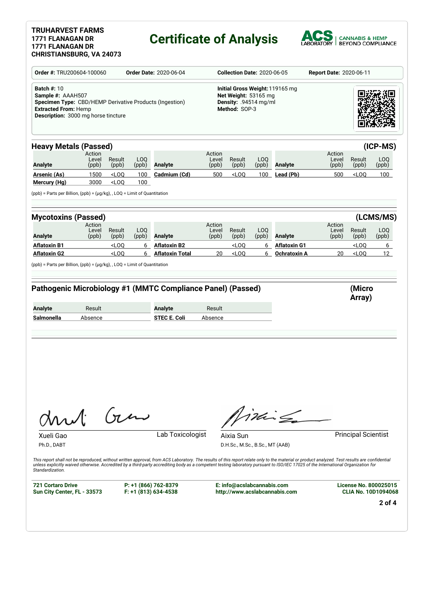### **TRUHARVEST FARMS 1771 FLANAGAN DR 1771 FLANAGAN DR**

# **Certificate of Analysis**



|                                                                                                                                                                          | Order #: TRU200604-100060<br><b>Order Date: 2020-06-04</b> |                                                                                                   |              |                                                                                                                                                                                                                                                                                                                                                                                                             |                          | <b>Collection Date: 2020-06-05</b><br>Report Date: 2020-06-11 |              |                     |                          |                                 |              |  |
|--------------------------------------------------------------------------------------------------------------------------------------------------------------------------|------------------------------------------------------------|---------------------------------------------------------------------------------------------------|--------------|-------------------------------------------------------------------------------------------------------------------------------------------------------------------------------------------------------------------------------------------------------------------------------------------------------------------------------------------------------------------------------------------------------------|--------------------------|---------------------------------------------------------------|--------------|---------------------|--------------------------|---------------------------------|--------------|--|
| <b>Batch #: 10</b><br>Sample #: AAAH507<br>Specimen Type: CBD/HEMP Derivative Products (Ingestion)<br><b>Extracted From: Hemp</b><br>Description: 3000 mg horse tincture |                                                            | Initial Gross Weight: 119165 mg<br>Net Weight: 53165 mg<br>Density: .94514 mg/ml<br>Method: SOP-3 |              |                                                                                                                                                                                                                                                                                                                                                                                                             |                          |                                                               |              |                     |                          |                                 |              |  |
| <b>Heavy Metals (Passed)</b>                                                                                                                                             |                                                            |                                                                                                   |              |                                                                                                                                                                                                                                                                                                                                                                                                             |                          |                                                               |              |                     |                          |                                 | (ICP-MS)     |  |
| <b>Analyte</b>                                                                                                                                                           | Action<br>Level<br>(ppb)                                   | Result<br>(ppb)                                                                                   | LOQ<br>(ppb) | Analyte                                                                                                                                                                                                                                                                                                                                                                                                     | Action<br>Level<br>(ppb) | Result<br>(ppb)                                               | LOQ<br>(ppb) | Analyte             | Action<br>Level<br>(ppb) | Result<br>(ppb)                 | LOQ<br>(ppb) |  |
| Arsenic (As)<br>Mercury (Hg)                                                                                                                                             | 1500<br>3000                                               | <loq<br><math>&lt;</math>LOQ</loq<br>                                                             | 100<br>100   | Cadmium (Cd)                                                                                                                                                                                                                                                                                                                                                                                                | 500                      | $<$ LOQ                                                       | 100          | Lead (Pb)           | 500                      | <loq< td=""><td>100</td></loq<> | 100          |  |
| (ppb) = Parts per Billion, (ppb) = (µg/kg), , LOQ = Limit of Quantitation                                                                                                |                                                            |                                                                                                   |              |                                                                                                                                                                                                                                                                                                                                                                                                             |                          |                                                               |              |                     |                          |                                 |              |  |
| <b>Mycotoxins (Passed)</b>                                                                                                                                               |                                                            |                                                                                                   |              |                                                                                                                                                                                                                                                                                                                                                                                                             |                          |                                                               |              |                     |                          |                                 | (LCMS/MS)    |  |
| <b>Analyte</b>                                                                                                                                                           | Action<br>Level<br>(ppb)                                   | Result<br>(ppb)                                                                                   | LOQ<br>(ppb) | Analyte                                                                                                                                                                                                                                                                                                                                                                                                     | Action<br>Level<br>(ppb) | Result<br>(ppb)                                               | LOQ<br>(ppb) | Analyte             | Action<br>Level<br>(ppb) | Result<br>(ppb)                 | LOQ<br>(ppb) |  |
| <b>Aflatoxin B1</b>                                                                                                                                                      |                                                            | $<$ LOQ                                                                                           | 6            | <b>Aflatoxin B2</b>                                                                                                                                                                                                                                                                                                                                                                                         |                          | $<$ LOQ                                                       | 6            | <b>Aflatoxin G1</b> |                          | $<$ LOQ                         | 6            |  |
|                                                                                                                                                                          |                                                            |                                                                                                   |              |                                                                                                                                                                                                                                                                                                                                                                                                             |                          |                                                               |              |                     | 20                       | $<$ LOQ                         | 12           |  |
|                                                                                                                                                                          |                                                            | $<$ LOQ                                                                                           | 6            | <b>Aflatoxin Total</b><br>Pathogenic Microbiology #1 (MMTC Compliance Panel) (Passed)                                                                                                                                                                                                                                                                                                                       | 20                       | $<$ LOQ                                                       | 6            | Ochratoxin A        |                          | (Micro<br>Array)                |              |  |
|                                                                                                                                                                          | Result                                                     |                                                                                                   |              | Analyte                                                                                                                                                                                                                                                                                                                                                                                                     | Result                   |                                                               |              |                     |                          |                                 |              |  |
| <b>Aflatoxin G2</b><br>$(ppb)$ = Parts per Billion, $(ppb)$ = $(\mu g/kg)$ , , LOQ = Limit of Quantitation<br><b>Analyte</b><br>Salmonella                               | Absence                                                    |                                                                                                   |              | <b>STEC E. Coli</b>                                                                                                                                                                                                                                                                                                                                                                                         | Absence                  |                                                               |              |                     |                          |                                 |              |  |
| Xueli Gao<br>Ph.D., DABT                                                                                                                                                 |                                                            | $(n\mu)$                                                                                          |              | Lab Toxicologist                                                                                                                                                                                                                                                                                                                                                                                            |                          | Aixia Sun<br>D.H.Sc., M.Sc., B.Sc., MT (AAB)                  |              | Min S               |                          | <b>Principal Scientist</b>      |              |  |
| Standardization.<br><b>721 Cortaro Drive</b>                                                                                                                             |                                                            |                                                                                                   |              | This report shall not be reproduced, without written approval, from ACS Laboratory. The results of this report relate only to the material or product analyzed. Test results are confidential<br>unless explicitly waived otherwise. Accredited by a third-party accrediting body as a competent testing laboratory pursuant to ISO/IEC 17025 of the International Organization for<br>P: +1 (866) 762-8379 |                          | E: info@acslabcannabis.com                                    |              |                     |                          | <b>License No. 800025015</b>    |              |  |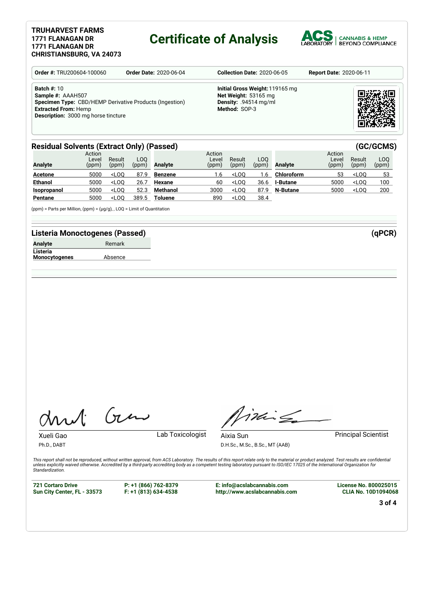#### **TRUHARVEST FARMS 1771 FLANAGAN DR 1771 FLANAGAN DR CHRISTIANSBURG, VA 24073**

### **Certificate of Analysis**



| <b>Order #: TRU200604-100060</b>                                                                                                                                                       | <b>Order Date: 2020-06-04</b> | <b>Collection Date: 2020-06-05</b>                                                                         |  |  |  |  |
|----------------------------------------------------------------------------------------------------------------------------------------------------------------------------------------|-------------------------------|------------------------------------------------------------------------------------------------------------|--|--|--|--|
| <b>Batch #: 10</b><br>Sample #: AAAH507<br><b>Specimen Type:</b> CBD/HEMP Derivative Products (Ingestion)<br><b>Extracted From: Hemp</b><br><b>Description:</b> 3000 mg horse tincture |                               | Initial Gross Weight: 119165 mg<br>Net Weight: 53165 mg<br><b>Density:</b> .94514 $mq/ml$<br>Method: SOP-3 |  |  |  |  |

#### **Residual Solvents (Extract Only) (Passed) (GC/GCMS)**

| <b>Analyte</b> | Action<br>Level<br>(ppm) | Result<br>(ppm) | LOO<br>(ppm) | Analyte        | Action<br>Level<br>(ppm) | Result<br>(ppm) | LOO.<br>(ppm) | Analyte         | Action<br>Level<br>(ppm) | Result<br>(ppm) | LOO<br>(ppm) |
|----------------|--------------------------|-----------------|--------------|----------------|--------------------------|-----------------|---------------|-----------------|--------------------------|-----------------|--------------|
| <b>Acetone</b> | 5000                     | $<$ LOO         | 87.9         | Benzene        | 1.6                      | $<$ LOO         | .6            | Chloroform      | 53                       | $<$ LOO         | 53           |
| <b>Ethanol</b> | 5000                     | $<$ LOO         | 26.7         | Hexane         | 60                       | $<$ LOO         | 36.6          | <b>I-Butane</b> | 5000                     | $<$ LOO         | 100          |
| Isopropanol    | 5000                     | $<$ LOO         | 52.3         | Methanol       | 3000                     | $<$ LOO         | 87.9          | N-Butane        | 5000                     | $<$ LOO         | 200          |
| Pentane        | 5000                     | $<$ LOO         | 389.5        | <b>Toluene</b> | 890                      | $<$ LOO         | 38.4          |                 |                          |                 |              |

(ppm) = Parts per Million, (ppm) = (µg/g), , LOQ = Limit of Quantitation

#### **Listeria Monoctogenes (Passed) (qPCR)**

| <b>Analyte</b>       | Remark  |
|----------------------|---------|
| Listeria             |         |
| <b>Monocytogenes</b> | Absence |

Gen

Xueli Gao **Lab Toxicologist** Ph.D., DABT

Timile

D.H.Sc., M.Sc., B.Sc., MT (AAB)

Aixia Sun **Principal Scientist** 

This report shall not be reproduced, without written approval, from ACS Laboratory. The results of this report relate only to the material or product analyzed. Test results are confidential<br>unless explicitly waived otherwi *Standardization.*

**721 Cortaro Drive Sun City Center, FL - 33573** **P: +1 (866) 762-8379 F: +1 (813) 634-4538**

**E: info@acslabcannabis.com http://www.acslabcannabis.com** **License No. 800025015 CLIA No. 10D1094068**

**3 of 4**